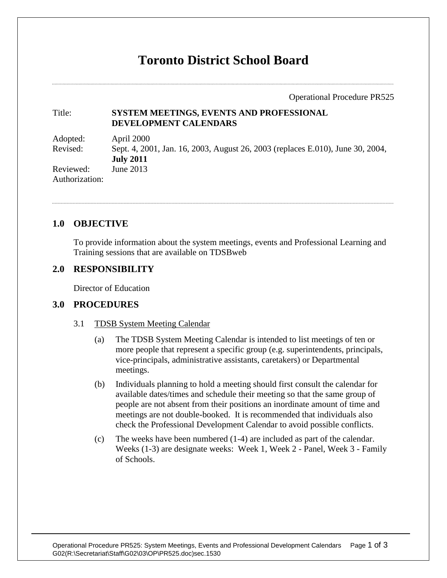# **Toronto District School Board**

Operational Procedure PR525

#### Title: **SYSTEM MEETINGS, EVENTS AND PROFESSIONAL DEVELOPMENT CALENDARS**

Adopted: April 2000 Revised: Sept. 4, 2001, Jan. 16, 2003, August 26, 2003 (replaces E.010), June 30, 2004, **July 2011** Reviewed: June 2013 Authorization:

# **1.0 OBJECTIVE**

To provide information about the system meetings, events and Professional Learning and Training sessions that are available on TDSBweb

# **2.0 RESPONSIBILITY**

Director of Education

## **3.0 PROCEDURES**

#### 3.1 TDSB System Meeting Calendar

- (a) The TDSB System Meeting Calendar is intended to list meetings of ten or more people that represent a specific group (e.g. superintendents, principals, vice-principals, administrative assistants, caretakers) or Departmental meetings.
- (b) Individuals planning to hold a meeting should first consult the calendar for available dates/times and schedule their meeting so that the same group of people are not absent from their positions an inordinate amount of time and meetings are not double-booked. It is recommended that individuals also check the Professional Development Calendar to avoid possible conflicts.
- (c) The weeks have been numbered (1-4) are included as part of the calendar. Weeks (1-3) are designate weeks: Week 1, Week 2 - Panel, Week 3 - Family of Schools.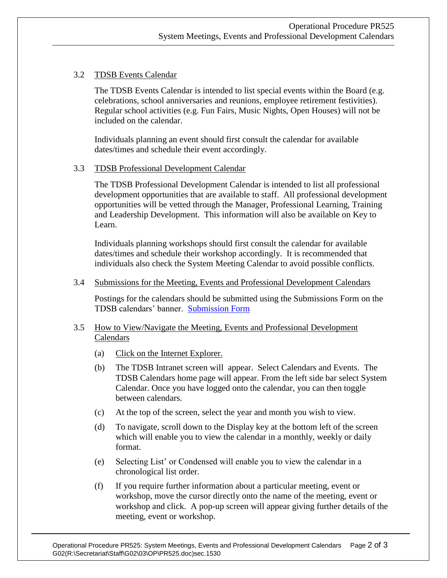## 3.2 TDSB Events Calendar

The TDSB Events Calendar is intended to list special events within the Board (e.g. celebrations, school anniversaries and reunions, employee retirement festivities). Regular school activities (e.g. Fun Fairs, Music Nights, Open Houses) will not be included on the calendar.

Individuals planning an event should first consult the calendar for available dates/times and schedule their event accordingly.

#### 3.3 TDSB Professional Development Calendar

The TDSB Professional Development Calendar is intended to list all professional development opportunities that are available to staff. All professional development opportunities will be vetted through the Manager, Professional Learning, Training and Leadership Development. This information will also be available on Key to Learn.

Individuals planning workshops should first consult the calendar for available dates/times and schedule their workshop accordingly. It is recommended that individuals also check the System Meeting Calendar to avoid possible conflicts.

#### 3.4 Submissions for the Meeting, Events and Professional Development Calendars

Postings for the calendars should be submitted using the Submissions Form on the TDSB calendars' banner. [Submission Form](http://tdsbweb/TDSB-cal_sub_form.asp)

## 3.5 How to View/Navigate the Meeting, Events and Professional Development Calendars

- (a) Click on the Internet Explorer.
- (b) The TDSB Intranet screen will appear. Select Calendars and Events. The TDSB Calendars home page will appear. From the left side bar select System Calendar. Once you have logged onto the calendar, you can then toggle between calendars.
- (c) At the top of the screen, select the year and month you wish to view.
- (d) To navigate, scroll down to the Display key at the bottom left of the screen which will enable you to view the calendar in a monthly, weekly or daily format.
- (e) Selecting List' or Condensed will enable you to view the calendar in a chronological list order.
- (f) If you require further information about a particular meeting, event or workshop, move the cursor directly onto the name of the meeting, event or workshop and click. A pop-up screen will appear giving further details of the meeting, event or workshop.